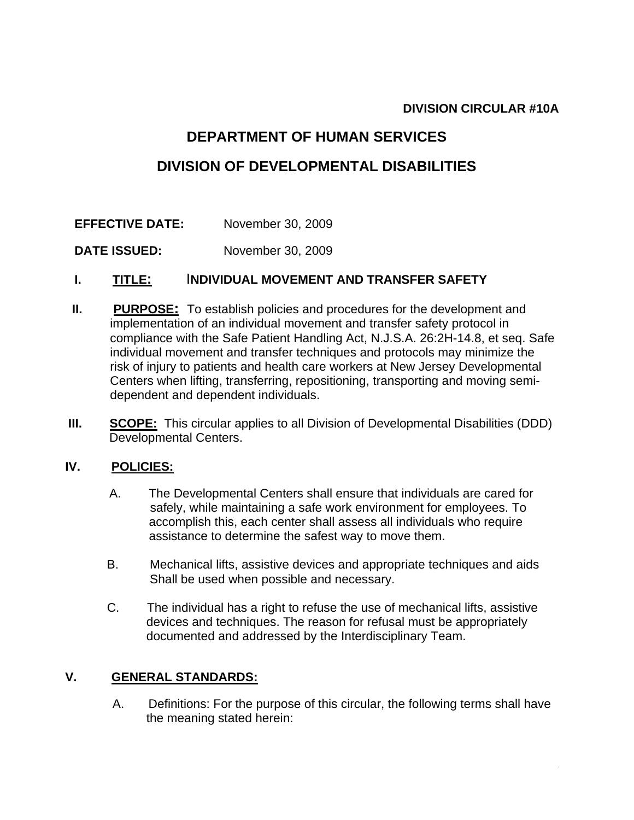## **DIVISION CIRCULAR #10A**

# **DEPARTMENT OF HUMAN SERVICES**

# **DIVISION OF DEVELOPMENTAL DISABILITIES**

## **EFFECTIVE DATE:** November 30, 2009

**DATE ISSUED:** November 30, 2009

## **I. TITLE:** I**NDIVIDUAL MOVEMENT AND TRANSFER SAFETY**

- **II.** PURPOSE: To establish policies and procedures for the development and implementation of an individual movement and transfer safety protocol in compliance with the Safe Patient Handling Act, N.J.S.A. 26:2H-14.8, et seq. Safe individual movement and transfer techniques and protocols may minimize the risk of injury to patients and health care workers at New Jersey Developmental Centers when lifting, transferring, repositioning, transporting and moving semi dependent and dependent individuals.
- **III.** SCOPE: This circular applies to all Division of Developmental Disabilities (DDD) Developmental Centers.

### **IV. POLICIES:**

- A. The Developmental Centers shall ensure that individuals are cared for safely, while maintaining a safe work environment for employees. To accomplish this, each center shall assess all individuals who require assistance to determine the safest way to move them.
- B. Mechanical lifts, assistive devices and appropriate techniques and aids Shall be used when possible and necessary.
- C. The individual has a right to refuse the use of mechanical lifts, assistive devices and techniques. The reason for refusal must be appropriately documented and addressed by the Interdisciplinary Team.

### **V. GENERAL STANDARDS:**

A. Definitions: For the purpose of this circular, the following terms shall have the meaning stated herein: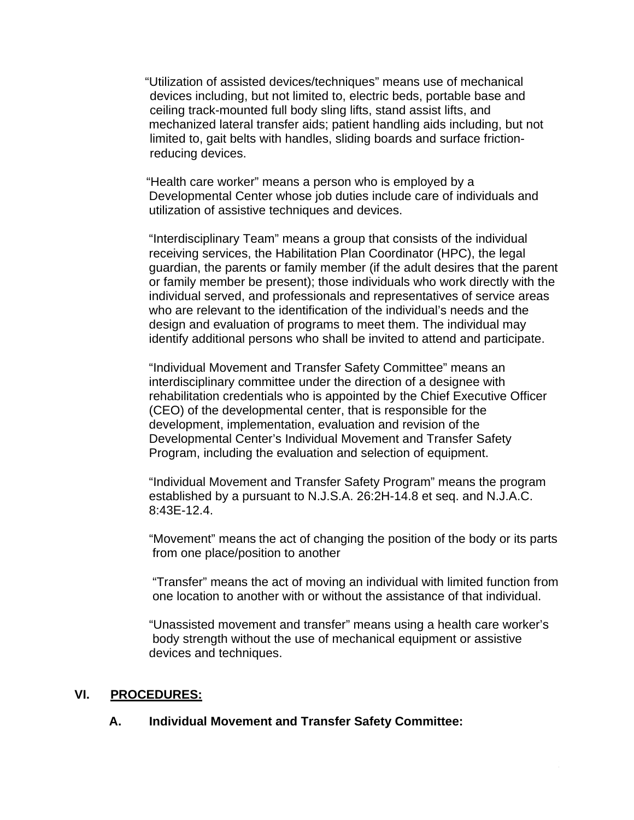"Utilization of assisted devices/techniques" means use of mechanical devices including, but not limited to, electric beds, portable base and ceiling track-mounted full body sling lifts, stand assist lifts, and mechanized lateral transfer aids; patient handling aids including, but not limited to, gait belts with handles, sliding boards and surface friction reducing devices.

 "Health care worker" means a person who is employed by a Developmental Center whose job duties include care of individuals and utilization of assistive techniques and devices.

"Interdisciplinary Team" means a group that consists of the individual receiving services, the Habilitation Plan Coordinator (HPC), the legal guardian, the parents or family member (if the adult desires that the parent or family member be present); those individuals who work directly with the individual served, and professionals and representatives of service areas who are relevant to the identification of the individual's needs and the design and evaluation of programs to meet them. The individual may identify additional persons who shall be invited to attend and participate.

 "Individual Movement and Transfer Safety Committee" means an interdisciplinary committee under the direction of a designee with rehabilitation credentials who is appointed by the Chief Executive Officer (CEO) of the developmental center, that is responsible for the development, implementation, evaluation and revision of the Developmental Center's Individual Movement and Transfer Safety Program, including the evaluation and selection of equipment.

 "Individual Movement and Transfer Safety Program" means the program established by a pursuant to N.J.S.A. 26:2H-14.8 et seq. and N.J.A.C. 8:43E-12.4.

 "Movement" means the act of changing the position of the body or its parts from one place/position to another

 "Transfer" means the act of moving an individual with limited function from one location to another with or without the assistance of that individual.

 "Unassisted movement and transfer" means using a health care worker's body strength without the use of mechanical equipment or assistive devices and techniques.

### **VI. PROCEDURES:**

#### **A. Individual Movement and Transfer Safety Committee:**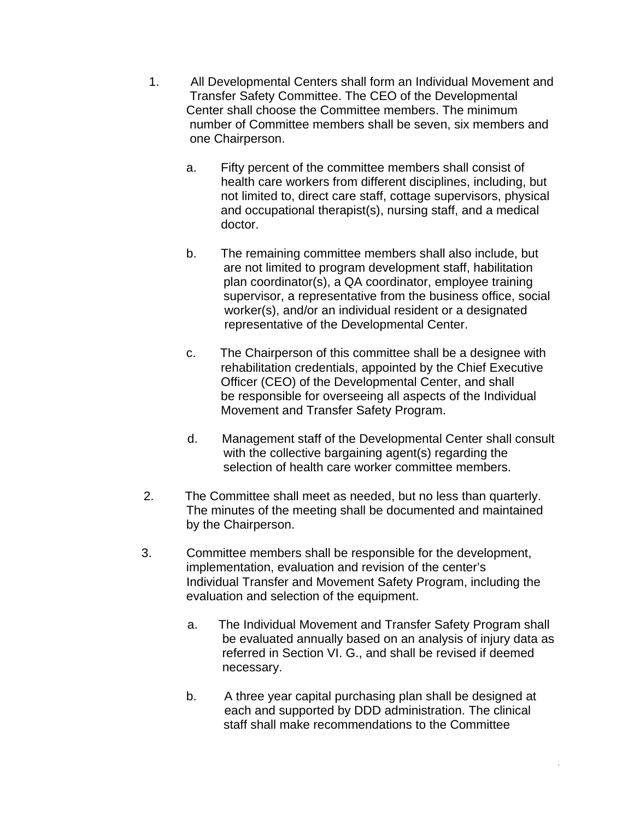- 1. All Developmental Centers shall form an Individual Movement and Transfer Safety Committee. The CEO of the Developmental Center shall choose the Committee members. The minimum number of Committee members shall be seven, six members and one Chairperson.
	- a. Fifty percent of the committee members shall consist of health care workers from different disciplines, including, but not limited to, direct care staff, cottage supervisors, physical and occupational therapist(s), nursing staff, and a medical doctor.
	- b. The remaining committee members shall also include, but are not limited to program development staff, habilitation plan coordinator(s), a QA coordinator, employee training supervisor, a representative from the business office, social worker(s), and/or an individual resident or a designated representative of the Developmental Center.
	- c. The Chairperson of this committee shall be a designee with rehabilitation credentials, appointed by the Chief Executive Officer (CEO) of the Developmental Center, and shall be responsible for overseeing all aspects of the Individual Movement and Transfer Safety Program.
	- d. Management staff of the Developmental Center shall consult with the collective bargaining agent(s) regarding the selection of health care worker committee members.
- 2. The Committee shall meet as needed, but no less than quarterly. The minutes of the meeting shall be documented and maintained by the Chairperson.
- 3. Committee members shall be responsible for the development, implementation, evaluation and revision of the center's Individual Transfer and Movement Safety Program, including the evaluation and selection of the equipment.
	- a. The Individual Movement and Transfer Safety Program shall be evaluated annually based on an analysis of injury data as referred in Section VI. G., and shall be revised if deemed necessary.
	- b. A three year capital purchasing plan shall be designed at each and supported by DDD administration. The clinical staff shall make recommendations to the Committee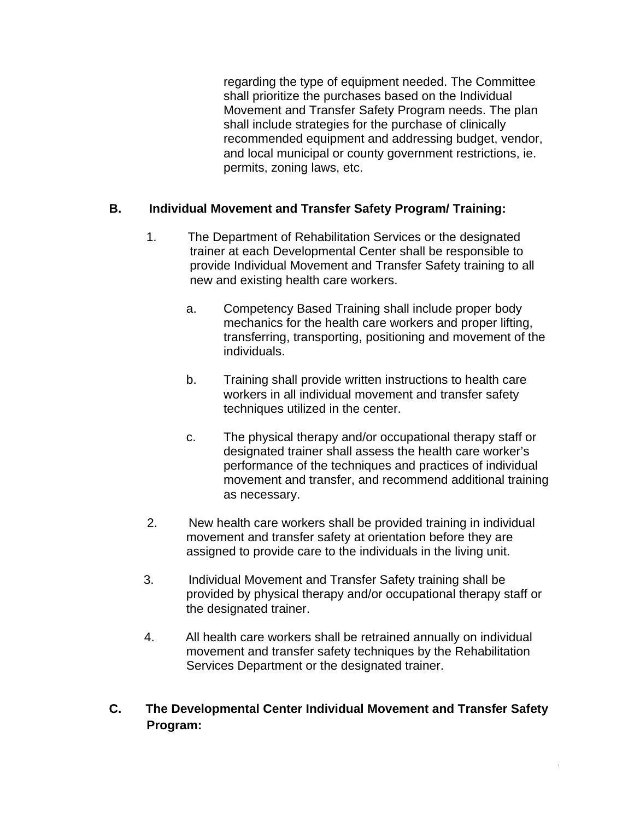regarding the type of equipment needed. The Committee shall prioritize the purchases based on the Individual Movement and Transfer Safety Program needs. The plan shall include strategies for the purchase of clinically recommended equipment and addressing budget, vendor, and local municipal or county government restrictions, ie. permits, zoning laws, etc.

## **B. Individual Movement and Transfer Safety Program/ Training:**

- 1. The Department of Rehabilitation Services or the designated trainer at each Developmental Center shall be responsible to provide Individual Movement and Transfer Safety training to all new and existing health care workers.
	- a. Competency Based Training shall include proper body mechanics for the health care workers and proper lifting, transferring, transporting, positioning and movement of the individuals.
	- b. Training shall provide written instructions to health care workers in all individual movement and transfer safety techniques utilized in the center.
	- c. The physical therapy and/or occupational therapy staff or designated trainer shall assess the health care worker's performance of the techniques and practices of individual movement and transfer, and recommend additional training as necessary.
- 2. New health care workers shall be provided training in individual movement and transfer safety at orientation before they are assigned to provide care to the individuals in the living unit.
- 3. Individual Movement and Transfer Safety training shall be provided by physical therapy and/or occupational therapy staff or the designated trainer.
- 4. All health care workers shall be retrained annually on individual movement and transfer safety techniques by the Rehabilitation Services Department or the designated trainer.

# **C. The Developmental Center Individual Movement and Transfer Safety Program:**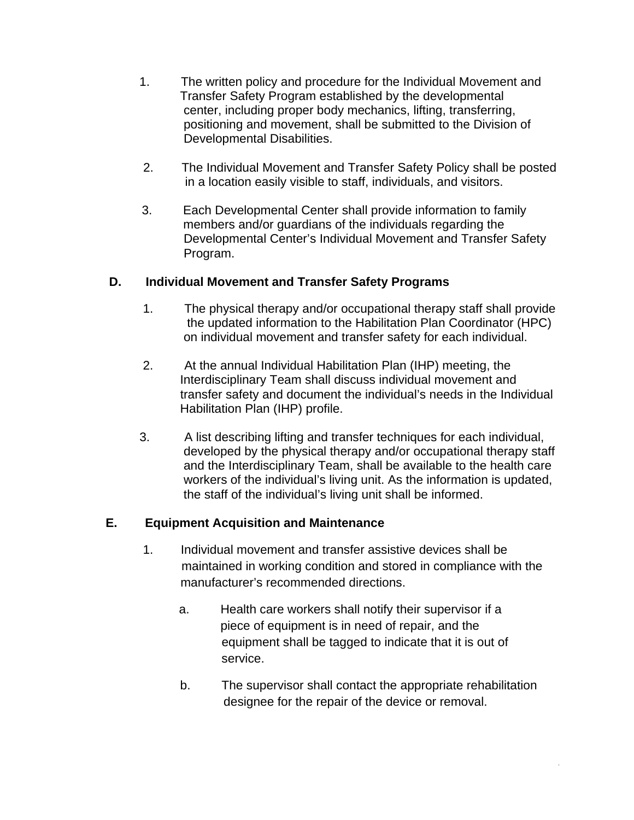- 1. The written policy and procedure for the Individual Movement and Transfer Safety Program established by the developmental center, including proper body mechanics, lifting, transferring, positioning and movement, shall be submitted to the Division of Developmental Disabilities.
- 2. The Individual Movement and Transfer Safety Policy shall be posted in a location easily visible to staff, individuals, and visitors.
- 3. Each Developmental Center shall provide information to family members and/or guardians of the individuals regarding the Developmental Center's Individual Movement and Transfer Safety Program.

# **D. Individual Movement and Transfer Safety Programs**

- 1. The physical therapy and/or occupational therapy staff shall provide the updated information to the Habilitation Plan Coordinator (HPC) on individual movement and transfer safety for each individual.
- 2. At the annual Individual Habilitation Plan (IHP) meeting, the Interdisciplinary Team shall discuss individual movement and transfer safety and document the individual's needs in the Individual Habilitation Plan (IHP) profile.
- 3. A list describing lifting and transfer techniques for each individual, developed by the physical therapy and/or occupational therapy staff and the Interdisciplinary Team, shall be available to the health care workers of the individual's living unit. As the information is updated, the staff of the individual's living unit shall be informed.

# **E. Equipment Acquisition and Maintenance**

- 1. Individual movement and transfer assistive devices shall be maintained in working condition and stored in compliance with the manufacturer's recommended directions.
	- a. Health care workers shall notify their supervisor if a piece of equipment is in need of repair, and the equipment shall be tagged to indicate that it is out of service.
	- b. The supervisor shall contact the appropriate rehabilitation designee for the repair of the device or removal.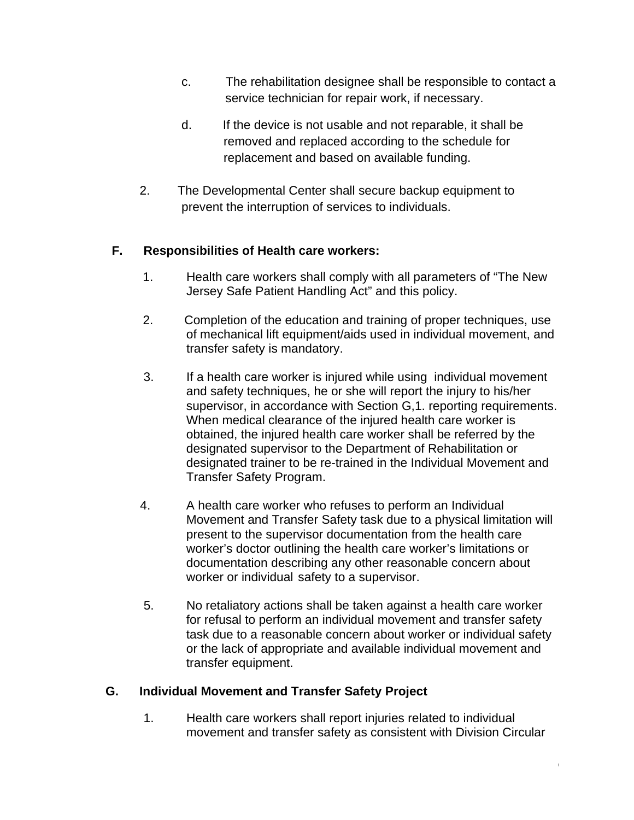- c. The rehabilitation designee shall be responsible to contact a service technician for repair work, if necessary.
- d. If the device is not usable and not reparable, it shall be removed and replaced according to the schedule for replacement and based on available funding.
- 2. The Developmental Center shall secure backup equipment to prevent the interruption of services to individuals.

# **F. Responsibilities of Health care workers:**

- 1. Health care workers shall comply with all parameters of "The New Jersey Safe Patient Handling Act" and this policy.
- 2. Completion of the education and training of proper techniques, use of mechanical lift equipment/aids used in individual movement, and transfer safety is mandatory.
- 3. If a health care worker is injured while using individual movement and safety techniques, he or she will report the injury to his/her supervisor, in accordance with Section G,1. reporting requirements. When medical clearance of the injured health care worker is obtained, the injured health care worker shall be referred by the designated supervisor to the Department of Rehabilitation or designated trainer to be re-trained in the Individual Movement and Transfer Safety Program.
- 4. A health care worker who refuses to perform an Individual Movement and Transfer Safety task due to a physical limitation will present to the supervisor documentation from the health care worker's doctor outlining the health care worker's limitations or documentation describing any other reasonable concern about worker or individual safety to a supervisor.
- 5. No retaliatory actions shall be taken against a health care worker for refusal to perform an individual movement and transfer safety task due to a reasonable concern about worker or individual safety or the lack of appropriate and available individual movement and transfer equipment.

# **G. Individual Movement and Transfer Safety Project**

1. Health care workers shall report injuries related to individual movement and transfer safety as consistent with Division Circular

6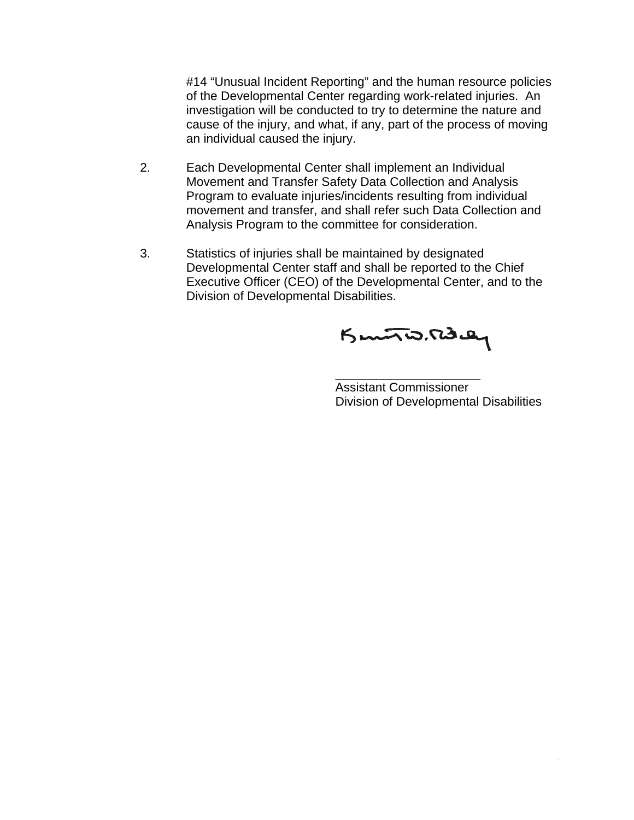#14 "Unusual Incident Reporting" and the human resource policies of the Developmental Center regarding work-related injuries. An investigation will be conducted to try to determine the nature and cause of the injury, and what, if any, part of the process of moving an individual caused the injury.

- 2. Each Developmental Center shall implement an Individual Movement and Transfer Safety Data Collection and Analysis Program to evaluate injuries/incidents resulting from individual movement and transfer, and shall refer such Data Collection and Analysis Program to the committee for consideration.
- 3. Statistics of injuries shall be maintained by designated Developmental Center staff and shall be reported to the Chief Executive Officer (CEO) of the Developmental Center, and to the Division of Developmental Disabilities.

 $\frac{1}{2}$  , and the contract of the contract of the contract of the contract of the contract of the contract of the contract of the contract of the contract of the contract of the contract of the contract of the contract

Kunto. Riday

 Assistant Commissioner Division of Developmental Disabilities